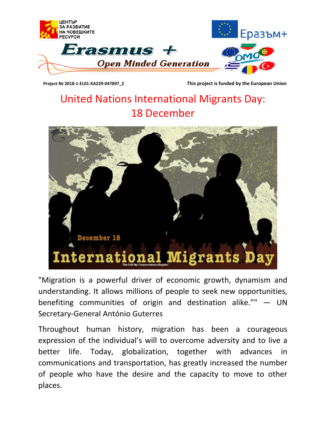

 **Project № 2018-1-EL01-KA229-047897\_2 This project is funded by the European Union**

## United Nations International Migrants Day: 18 December



"Migration is a powerful driver of economic growth, dynamism and understanding. It allows millions of people to seek new opportunities, benefiting communities of origin and destination alike."" — UN Secretary-General António Guterres

Throughout human history, migration has been a courageous expression of the individual's will to overcome adversity and to live a better life. Today, globalization, together with advances in communications and transportation, has greatly increased the number of people who have the desire and the capacity to move to other places.